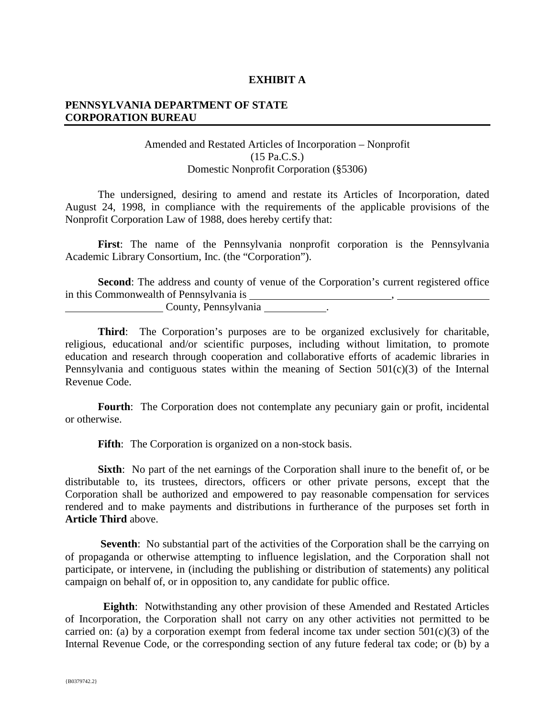## **EXHIBIT A**

## **PENNSYLVANIA DEPARTMENT OF STATE CORPORATION BUREAU**

## Amended and Restated Articles of Incorporation – Nonprofit (15 Pa.C.S.) Domestic Nonprofit Corporation (§5306)

The undersigned, desiring to amend and restate its Articles of Incorporation, dated August 24, 1998, in compliance with the requirements of the applicable provisions of the Nonprofit Corporation Law of 1988, does hereby certify that:

**First**: The name of the Pennsylvania nonprofit corporation is the Pennsylvania Academic Library Consortium, Inc. (the "Corporation").

Second: The address and county of venue of the Corporation's current registered office in this Commonwealth of Pennsylvania is County, Pennsylvania .

**Third**: The Corporation's purposes are to be organized exclusively for charitable, religious, educational and/or scientific purposes, including without limitation, to promote education and research through cooperation and collaborative efforts of academic libraries in Pennsylvania and contiguous states within the meaning of Section 501(c)(3) of the Internal Revenue Code.

Fourth: The Corporation does not contemplate any pecuniary gain or profit, incidental or otherwise.

Fifth: The Corporation is organized on a non-stock basis.

**Sixth**: No part of the net earnings of the Corporation shall inure to the benefit of, or be distributable to, its trustees, directors, officers or other private persons, except that the Corporation shall be authorized and empowered to pay reasonable compensation for services rendered and to make payments and distributions in furtherance of the purposes set forth in **Article Third** above.

**Seventh:** No substantial part of the activities of the Corporation shall be the carrying on of propaganda or otherwise attempting to influence legislation, and the Corporation shall not participate, or intervene, in (including the publishing or distribution of statements) any political campaign on behalf of, or in opposition to, any candidate for public office.

 **Eighth**: Notwithstanding any other provision of these Amended and Restated Articles of Incorporation, the Corporation shall not carry on any other activities not permitted to be carried on: (a) by a corporation exempt from federal income tax under section  $501(c)(3)$  of the Internal Revenue Code, or the corresponding section of any future federal tax code; or (b) by a